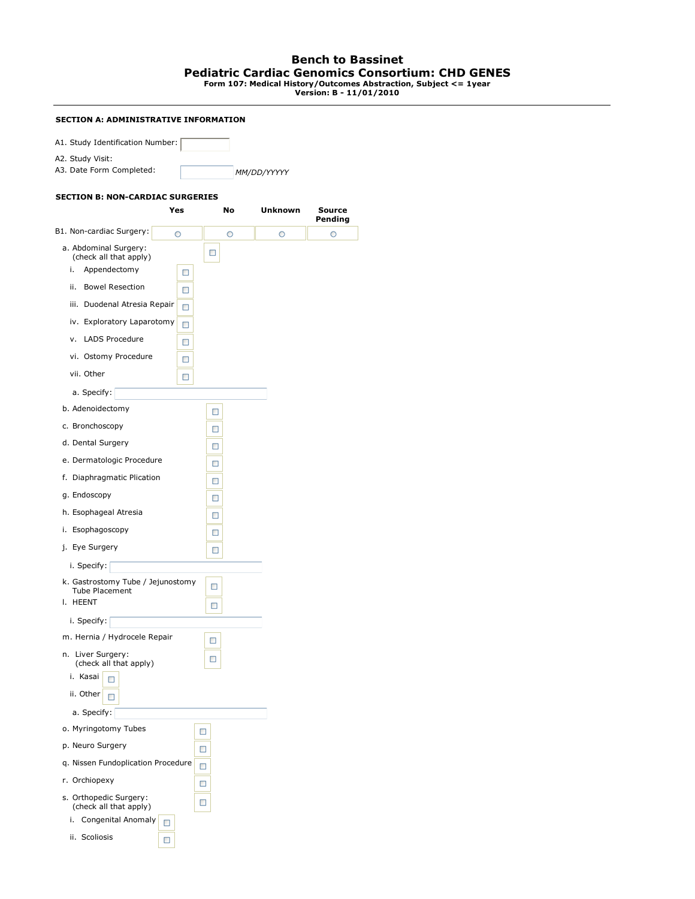## **Bench to Bassinet Pediatric Cardiac Genomics Consortium: CHD GENES Form 107: Medical History/Outcomes Abstraction, Subject <= 1year Version: B - 11/01/2010**

## **SECTION A: ADMINISTRATIVE INFORMATION**

| A1. Study Identification Number: |             |
|----------------------------------|-------------|
| A2. Study Visit:                 |             |
| A3. Date Form Completed:         | MM/DD/YYYYY |

## **SECTION B: NON-CARDIAC SURGERIES**

|                                                                        | Yes | No      | Unknown | Source<br>Pending |
|------------------------------------------------------------------------|-----|---------|---------|-------------------|
| B1. Non-cardiac Surgery:                                               | O   | $\circ$ | O       | $\circ$           |
| a. Abdominal Surgery:<br>(check all that apply)                        |     | □       |         |                   |
| Appendectomy<br>i.                                                     | □   |         |         |                   |
| <b>Bowel Resection</b><br>ii.                                          | □   |         |         |                   |
| iii. Duodenal Atresia Repair                                           | □   |         |         |                   |
| iv. Exploratory Laparotomy                                             | □   |         |         |                   |
| v. LADS Procedure                                                      | □   |         |         |                   |
| vi. Ostomy Procedure                                                   | □   |         |         |                   |
| vii. Other                                                             | □   |         |         |                   |
| a. Specify:                                                            |     |         |         |                   |
| b. Adenoidectomy                                                       |     | □       |         |                   |
| c. Bronchoscopy                                                        |     | □       |         |                   |
| d. Dental Surgery                                                      |     | □       |         |                   |
| e. Dermatologic Procedure                                              |     | □       |         |                   |
| f. Diaphragmatic Plication                                             |     | □       |         |                   |
| g. Endoscopy                                                           |     | □       |         |                   |
| h. Esophageal Atresia                                                  |     | □       |         |                   |
| i. Esophagoscopy                                                       |     | □       |         |                   |
| j. Eye Surgery                                                         |     | □       |         |                   |
| i. Specify:                                                            |     |         |         |                   |
| k. Gastrostomy Tube / Jejunostomy<br><b>Tube Placement</b><br>I. HEENT |     | □<br>□  |         |                   |
| i. Specify:                                                            |     |         |         |                   |
| m. Hernia / Hydrocele Repair                                           |     | □       |         |                   |
| n. Liver Surgery:<br>(check all that apply)                            |     | □       |         |                   |
| i. Kasai<br>п                                                          |     |         |         |                   |
| ii. Other<br>□                                                         |     |         |         |                   |
| a. Specify:                                                            |     |         |         |                   |
| o. Myringotomy Tubes                                                   |     | □       |         |                   |
| p. Neuro Surgery                                                       |     | □       |         |                   |
| q. Nissen Fundoplication Procedure                                     |     | □       |         |                   |
| r. Orchiopexy                                                          |     | □       |         |                   |
| s. Orthopedic Surgery:<br>(check all that apply)                       |     | □       |         |                   |
| i.<br>Congenital Anomaly                                               | □   |         |         |                   |
| ii. Scoliosis                                                          | □   |         |         |                   |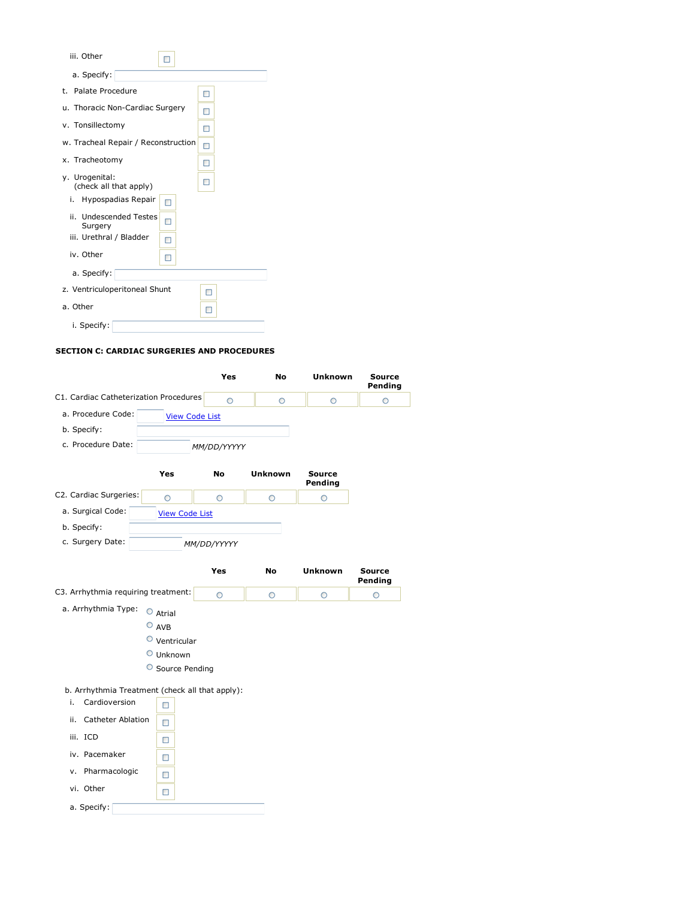| iii. Other<br>п                          |   |
|------------------------------------------|---|
| a. Specify:                              |   |
| t. Palate Procedure                      | п |
| u. Thoracic Non-Cardiac Surgery          | п |
| v. Tonsillectomy                         | п |
| w. Tracheal Repair / Reconstruction      | □ |
| x. Tracheotomy                           | п |
| y. Urogenital:<br>(check all that apply) |   |
| Hypospadias Repair<br>i.<br>п            |   |
| ii. Undescended Testes<br>п<br>Surgery   |   |
| iii. Urethral / Bladder<br>п             |   |
| iv. Other<br>п                           |   |
| a. Specify:                              |   |
| z. Ventriculoperitoneal Shunt            |   |
| a. Other                                 | п |
| i. Specify:                              |   |

## **SECTION C: CARDIAC SURGERIES AND PROCEDURES**

|                                                                        |                       | Yes         | No             | <b>Unknown</b>           | <b>Source</b><br>Pending |
|------------------------------------------------------------------------|-----------------------|-------------|----------------|--------------------------|--------------------------|
| C1. Cardiac Catheterization Procedures                                 |                       | $\circ$     | O              | $\circ$                  | O                        |
| a. Procedure Code:                                                     | <b>View Code List</b> |             |                |                          |                          |
| b. Specify:                                                            |                       |             |                |                          |                          |
| c. Procedure Date:                                                     |                       | MM/DD/YYYYY |                |                          |                          |
|                                                                        | Yes                   | No          | <b>Unknown</b> | <b>Source</b><br>Pending |                          |
| C2. Cardiac Surgeries:                                                 | O                     | O           | O              | O                        |                          |
| a. Surgical Code:                                                      | <b>View Code List</b> |             |                |                          |                          |
| b. Specify:                                                            |                       |             |                |                          |                          |
| c. Surgery Date:                                                       |                       | MM/DD/YYYYY |                |                          |                          |
|                                                                        |                       | Yes         | No             | <b>Unknown</b>           | Source<br>Pending        |
| C3. Arrhythmia requiring treatment:                                    |                       | O           | O              | O                        | O                        |
| a. Arrhythmia Type:                                                    | $\circ$<br>Atrial     |             |                |                          |                          |
|                                                                        | $O$ AVB               |             |                |                          |                          |
|                                                                        | $\circ$ Ventricular   |             |                |                          |                          |
|                                                                        | O Unknown             |             |                |                          |                          |
|                                                                        | Source Pending        |             |                |                          |                          |
| b. Arrhythmia Treatment (check all that apply):<br>Cardioversion<br>i. | o                     |             |                |                          |                          |
| <b>Catheter Ablation</b><br>ii.                                        | □                     |             |                |                          |                          |
| iii. ICD                                                               | □                     |             |                |                          |                          |
| iv. Pacemaker                                                          | □                     |             |                |                          |                          |
| v. Pharmacologic                                                       | П                     |             |                |                          |                          |
| vi. Other                                                              | □                     |             |                |                          |                          |
| a. Specify:                                                            |                       |             |                |                          |                          |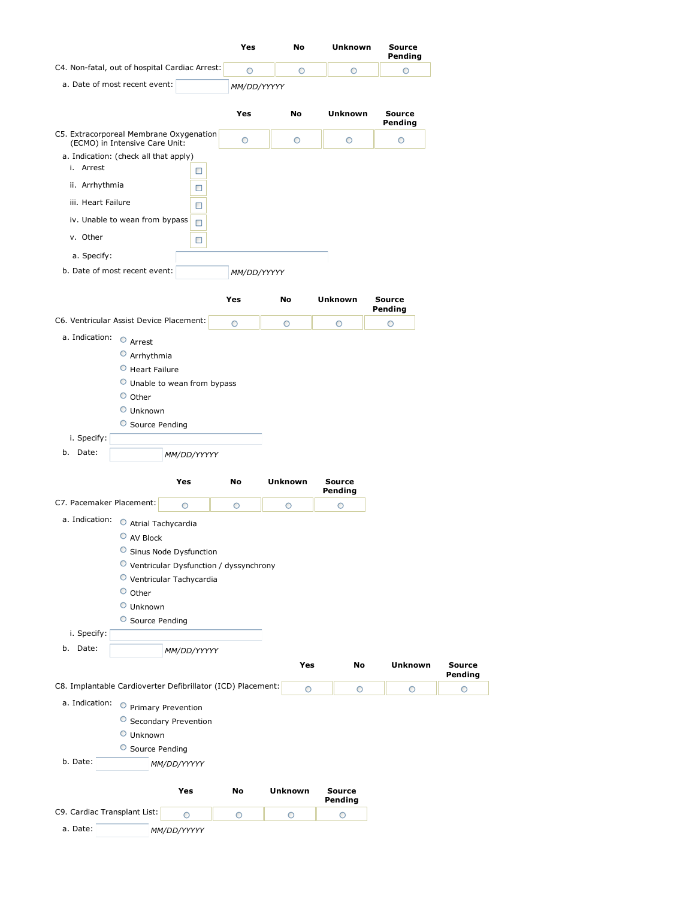|                                                                           | Yes         | No             | <b>Unknown</b>           | <b>Source</b><br>Pending |                          |
|---------------------------------------------------------------------------|-------------|----------------|--------------------------|--------------------------|--------------------------|
| C4. Non-fatal, out of hospital Cardiac Arrest:                            | O           | O              | O                        | O                        |                          |
| a. Date of most recent event:                                             | MM/DD/YYYYY |                |                          |                          |                          |
|                                                                           |             |                |                          |                          |                          |
|                                                                           | Yes         | No             | <b>Unknown</b>           | <b>Source</b><br>Pending |                          |
| C5. Extracorporeal Membrane Oxygenation<br>(ECMO) in Intensive Care Unit: | O           | O              | O                        | O                        |                          |
| a. Indication: (check all that apply)                                     |             |                |                          |                          |                          |
| i. Arrest<br>□                                                            |             |                |                          |                          |                          |
| ii. Arrhythmia<br>□                                                       |             |                |                          |                          |                          |
| iii. Heart Failure<br>□                                                   |             |                |                          |                          |                          |
| iv. Unable to wean from bypass<br>$\Box$                                  |             |                |                          |                          |                          |
| v. Other<br>□                                                             |             |                |                          |                          |                          |
| a. Specify:                                                               |             |                |                          |                          |                          |
| b. Date of most recent event:                                             | MM/DD/YYYYY |                |                          |                          |                          |
|                                                                           |             |                |                          |                          |                          |
|                                                                           | Yes         | No             | <b>Unknown</b>           | <b>Source</b><br>Pending |                          |
| C6. Ventricular Assist Device Placement:                                  | O           | $\circ$        | $\circ$                  | $\circ$                  |                          |
| a. Indication: $\circ$ Arrest                                             |             |                |                          |                          |                          |
| $O$ Arrhythmia                                                            |             |                |                          |                          |                          |
| $\circ$ Heart Failure                                                     |             |                |                          |                          |                          |
| O Unable to wean from bypass                                              |             |                |                          |                          |                          |
| $\circ$ Other<br>O Unknown                                                |             |                |                          |                          |                          |
| O Source Pending                                                          |             |                |                          |                          |                          |
| i. Specify:                                                               |             |                |                          |                          |                          |
| b. Date:<br>MM/DD/YYYYY                                                   |             |                |                          |                          |                          |
|                                                                           |             |                |                          |                          |                          |
| Yes                                                                       | No          | <b>Unknown</b> | <b>Source</b><br>Pending |                          |                          |
| C7. Pacemaker Placement:<br>O                                             | O           | O              | O                        |                          |                          |
| a. Indication:<br>O Atrial Tachycardia                                    |             |                |                          |                          |                          |
| O AV Block                                                                |             |                |                          |                          |                          |
| O<br>Sinus Node Dysfunction                                               |             |                |                          |                          |                          |
| O Ventricular Dysfunction / dyssynchrony                                  |             |                |                          |                          |                          |
| O Ventricular Tachycardia<br>$\circ$ Other                                |             |                |                          |                          |                          |
| $\circ$ Unknown                                                           |             |                |                          |                          |                          |
| O Source Pending                                                          |             |                |                          |                          |                          |
| i. Specify:                                                               |             |                |                          |                          |                          |
| b. Date:<br>MM/DD/YYYYY                                                   |             |                |                          |                          |                          |
|                                                                           |             | Yes            | No                       | <b>Unknown</b>           | <b>Source</b><br>Pending |
| C8. Implantable Cardioverter Defibrillator (ICD) Placement:               |             | O              | $\circ$                  | $\circ$                  | O                        |
| a. Indication: O Primary Prevention                                       |             |                |                          |                          |                          |
| O Secondary Prevention                                                    |             |                |                          |                          |                          |
| $\circ$ Unknown                                                           |             |                |                          |                          |                          |
| Source Pending                                                            |             |                |                          |                          |                          |
| b. Date:<br>MM/DD/YYYYY                                                   |             |                |                          |                          |                          |
| Yes                                                                       | No          | <b>Unknown</b> | <b>Source</b>            |                          |                          |
| C9. Cardiac Transplant List:                                              |             |                |                          |                          |                          |
| O                                                                         | $\circ$     | O              | Pending<br>O             |                          |                          |